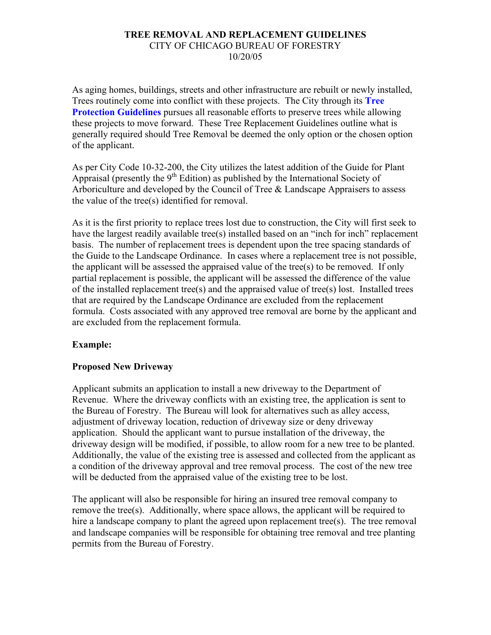### **TREE REMOVAL AND REPLACEMENT GUIDELINES**  CITY OF CHICAGO BUREAU OF FORESTRY 10/20/05

As aging homes, buildings, streets and other infrastructure are rebuilt or newly installed, Trees routinely come into conflict with these projects. The City through its **Tree Protection Guidelines** pursues all reasonable efforts to preserve trees while allowing these projects to move forward. These Tree Replacement Guidelines outline what is generally required should Tree Removal be deemed the only option or the chosen option of the applicant.

As per City Code 10-32-200, the City utilizes the latest addition of the Guide for Plant Appraisal (presently the  $9<sup>th</sup>$  Edition) as published by the International Society of Arboriculture and developed by the Council of Tree & Landscape Appraisers to assess the value of the tree(s) identified for removal.

As it is the first priority to replace trees lost due to construction, the City will first seek to have the largest readily available tree(s) installed based on an "inch for inch" replacement basis. The number of replacement trees is dependent upon the tree spacing standards of the Guide to the Landscape Ordinance. In cases where a replacement tree is not possible, the applicant will be assessed the appraised value of the tree(s) to be removed. If only partial replacement is possible, the applicant will be assessed the difference of the value of the installed replacement tree(s) and the appraised value of tree(s) lost. Installed trees that are required by the Landscape Ordinance are excluded from the replacement formula. Costs associated with any approved tree removal are borne by the applicant and are excluded from the replacement formula.

# **Example:**

# **Proposed New Driveway**

Applicant submits an application to install a new driveway to the Department of Revenue. Where the driveway conflicts with an existing tree, the application is sent to the Bureau of Forestry. The Bureau will look for alternatives such as alley access, adjustment of driveway location, reduction of driveway size or deny driveway application. Should the applicant want to pursue installation of the driveway, the driveway design will be modified, if possible, to allow room for a new tree to be planted. Additionally, the value of the existing tree is assessed and collected from the applicant as a condition of the driveway approval and tree removal process. The cost of the new tree will be deducted from the appraised value of the existing tree to be lost.

The applicant will also be responsible for hiring an insured tree removal company to remove the tree(s). Additionally, where space allows, the applicant will be required to hire a landscape company to plant the agreed upon replacement tree(s). The tree removal and landscape companies will be responsible for obtaining tree removal and tree planting permits from the Bureau of Forestry.